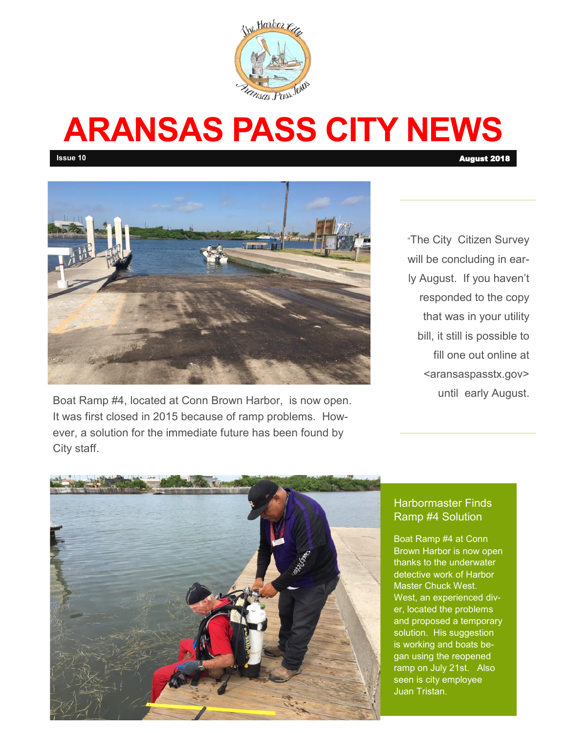

# **ARANSAS PASS CITY NEWS**

**Issue 10** August 2018 **August 2018** 



Boat Ramp #4, located at Conn Brown Harbor, is now open. It was first closed in 2015 because of ramp problems. However, a solution for the immediate future has been found by City staff.

"The City Citizen Survey will be concluding in early August. If you haven't responded to the copy that was in your utility bill, it still is possible to fill one out online at <aransaspasstx.gov> until early August.



## Harbormaster Finds Ramp #4 Solution

Boat Ramp #4 at Conn Brown Harbor is now open thanks to the underwater detective work of Harbor Master Chuck West. West, an experienced diver, located the problems and proposed a temporary solution. His suggestion is working and boats began using the reopened ramp on July 21st. Also seen is city employee Juan Tristan.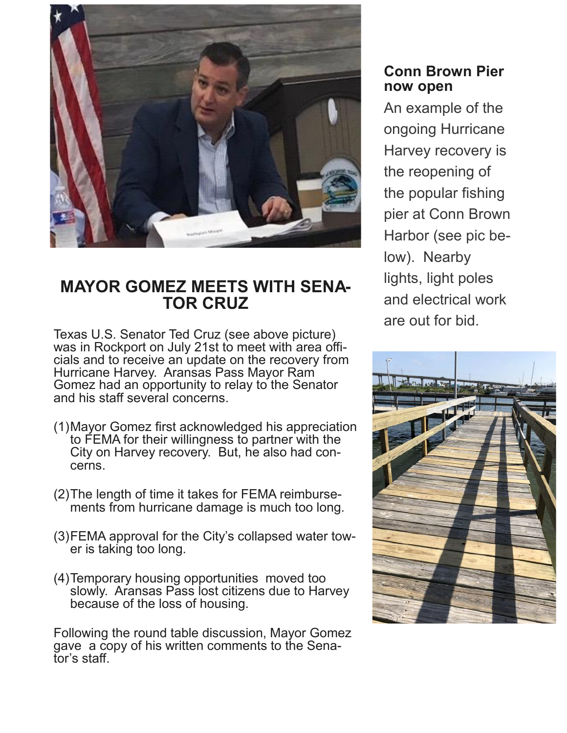

# **MAYOR GOMEZ MEETS WITH SENA-TOR CRUZ**

Texas U.S. Senator Ted Cruz (see above picture) was in Rockport on July 21st to meet with area officials and to receive an update on the recovery from Hurricane Harvey. Aransas Pass Mayor Ram Gomez had an opportunity to relay to the Senator and his staff several concerns.

- (1)Mayor Gomez first acknowledged his appreciation to FEMA for their willingness to partner with the City on Harvey recovery. But, he also had concerns.
- (2)The length of time it takes for FEMA reimbursements from hurricane damage is much too long.
- (3)FEMA approval for the City's collapsed water tower is taking too long.
- (4)Temporary housing opportunities moved too slowly. Aransas Pass lost citizens due to Harvey because of the loss of housing.

Following the round table discussion, Mayor Gomez gave a copy of his written comments to the Senator's staff.

## **Conn Brown Pier now open**

An example of the ongoing Hurricane Harvey recovery is the reopening of the popular fishing pier at Conn Brown Harbor (see pic below). Nearby lights, light poles and electrical work are out for bid.

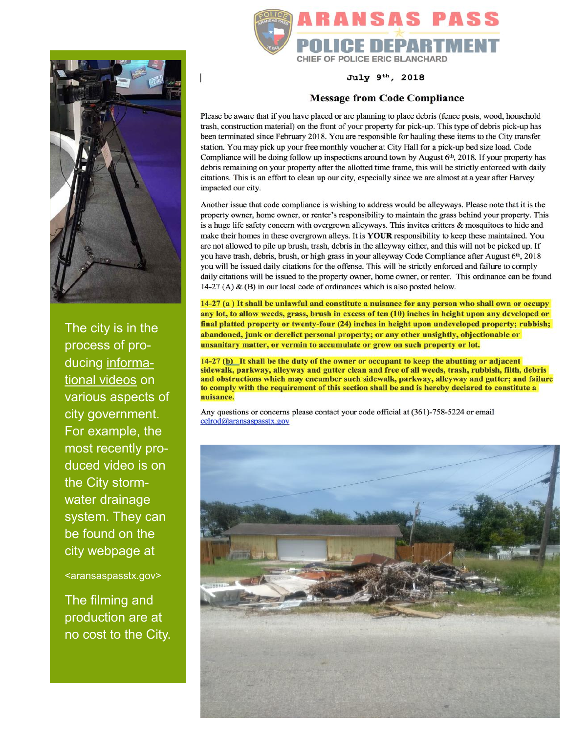

The city is in the process of producing informational videos on various aspects of city government. For example, the most recently produced video is on the City stormwater drainage system. They can be found on the city webpage at

<aransaspasstx.gov>

The filming and production are at no cost to the City.



July 9th, 2018

#### **Message from Code Compliance**

Please be aware that if you have placed or are planning to place debris (fence posts, wood, household trash, construction material) on the front of your property for pick-up. This type of debris pick-up has been terminated since February 2018. You are responsible for hauling these items to the City transfer station. You may pick up your free monthly voucher at City Hall for a pick-up bed size load. Code Compliance will be doing follow up inspections around town by August 6th, 2018. If your property has debris remaining on your property after the allotted time frame, this will be strictly enforced with daily citations. This is an effort to clean up our city, especially since we are almost at a year after Harvey impacted our city.

Another issue that code compliance is wishing to address would be alleyways. Please note that it is the property owner, home owner, or renter's responsibility to maintain the grass behind your property. This is a huge life safety concern with overgrown alleyways. This invites critters & mosquitoes to hide and make their homes in these overgrown alleys. It is YOUR responsibility to keep these maintained. You are not allowed to pile up brush, trash, debris in the alleyway either, and this will not be picked up. If you have trash, debris, brush, or high grass in your alleyway Code Compliance after August 6th, 2018 you will be issued daily citations for the offense. This will be strictly enforced and failure to comply daily citations will be issued to the property owner, home owner, or renter. This ordinance can be found 14-27 (A) & (B) in our local code of ordinances which is also posted below.

14-27 (a) It shall be unlawful and constitute a nuisance for any person who shall own or occupy any lot, to allow weeds, grass, brush in excess of ten (10) inches in height upon any developed or final platted property or twenty-four (24) inches in height upon undeveloped property; rubbish; abandoned, junk or derelict personal property; or any other unsightly, objectionable or unsanitary matter, or vermin to accumulate or grow on such property or lot.

14-27 (b) It shall be the duty of the owner or occupant to keep the abutting or adjacent sidewalk, parkway, alleyway and gutter clean and free of all weeds, trash, rubbish, filth, debris and obstructions which may encumber such sidewalk, parkway, alleyway and gutter; and failure to comply with the requirement of this section shall be and is hereby declared to constitute a nuisance.

Any questions or concerns please contact your code official at (361)-758-5224 or email celrod@aransaspasstx.gov